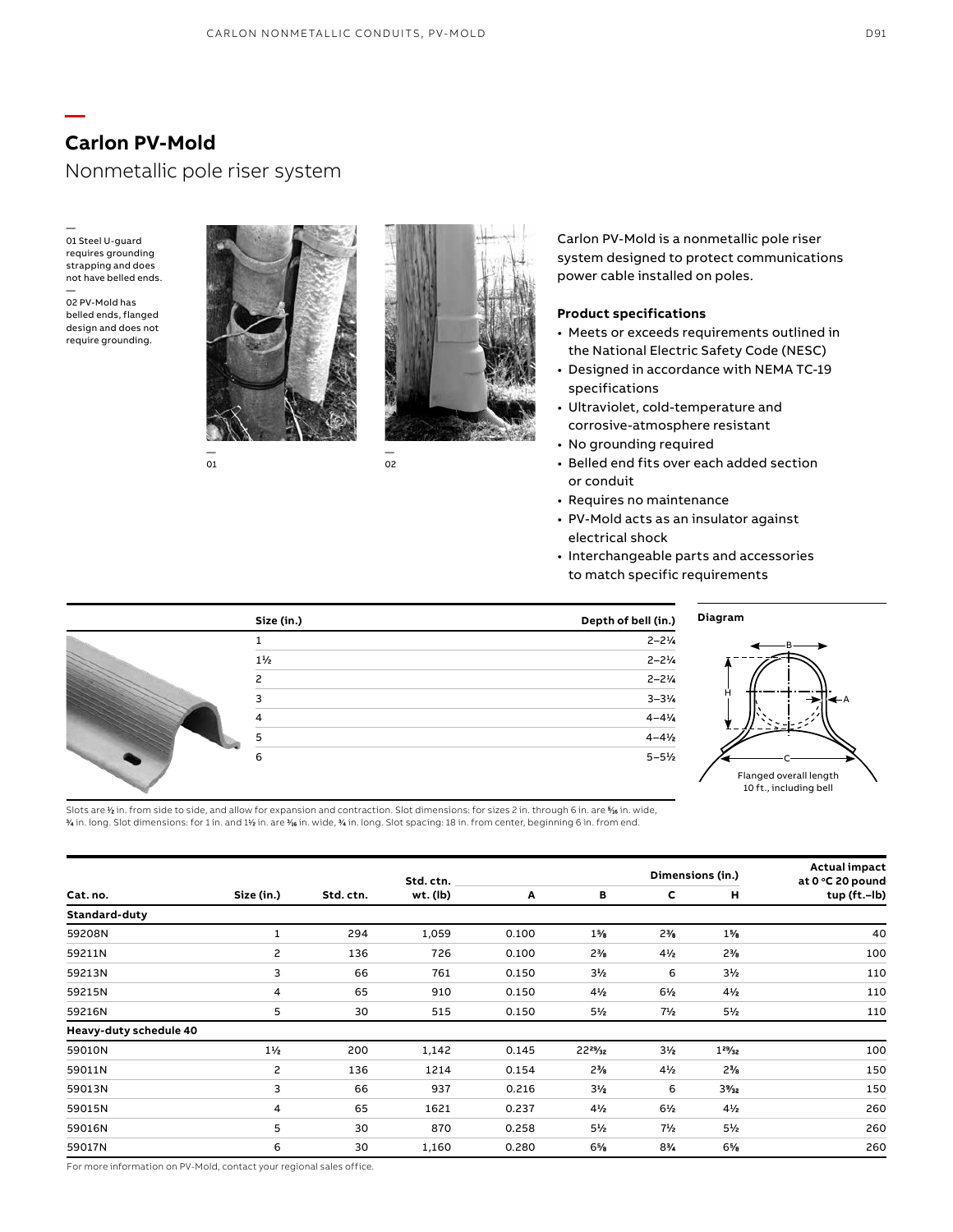## Nonmetallic pole riser system

— 01 Steel U-guard requires grounding strapping and does not have belled ends.

**—**

— 02 PV-Mold has belled ends, flanged design and does not require grounding.



— 01



— 02

Carlon PV-Mold is a nonmetallic pole riser system designed to protect communications power cable installed on poles.

### **Product specifications**

- Meets or exceeds requirements outlined in the National Electric Safety Code (NESC)
- Designed in accordance with NEMA TC-19 specifications
- Ultraviolet, cold-temperature and corrosive-atmosphere resistant
- No grounding required
- Belled end fits over each added section or conduit
- Requires no maintenance
- PV-Mold acts as an insulator against electrical shock
- Interchangeable parts and accessories to match specific requirements



Slots are % in. from side to side, and allow for expansion and contraction. Slot dimensions: for sizes 2 in. through 6 in. are % in. wide,  $\gamma$  in. long. Slot dimensions: for 1 in. and 1½ in. are ½ in. wide, ½ in. long. Slot spacing: 18 in. from center, beginning 6 in. from end.

|                        |                |           | Std. ctn. |       |                |                | Dimensions (in.) | <b>Actual impact</b><br>at 0 °C 20 pound |
|------------------------|----------------|-----------|-----------|-------|----------------|----------------|------------------|------------------------------------------|
| Cat. no.               | Size (in.)     | Std. ctn. | wt. (lb)  | Α     | в              | С              | н                | tup (ft.-lb)                             |
| Standard-duty          |                |           |           |       |                |                |                  |                                          |
| 59208N                 | 1              | 294       | 1,059     | 0.100 | $1\%$          | $2\%$          | $1\%$            | 40                                       |
| 59211N                 | 2              | 136       | 726       | 0.100 | $2\frac{3}{8}$ | $4\frac{1}{2}$ | $2\frac{3}{6}$   | 100                                      |
| 59213N                 | 3              | 66        | 761       | 0.150 | $3\frac{1}{2}$ | 6              | $3\frac{1}{2}$   | 110                                      |
| 59215N                 | 4              | 65        | 910       | 0.150 | $4\frac{1}{2}$ | $6\frac{1}{2}$ | $4\frac{1}{2}$   | 110                                      |
| 59216N                 | 5              | 30        | 515       | 0.150 | 5½             | 7½             | $5\frac{1}{2}$   | 110                                      |
| Heavy-duty schedule 40 |                |           |           |       |                |                |                  |                                          |
| 59010N                 | $1\frac{1}{2}$ | 200       | 1,142     | 0.145 | 2229/32        | $3\frac{1}{2}$ | $1^{29}/_{32}$   | 100                                      |
| 59011N                 | 2              | 136       | 1214      | 0.154 | $2\frac{1}{2}$ | $4\frac{1}{2}$ | $2\%$            | 150                                      |
| 59013N                 | 3              | 66        | 937       | 0.216 | $3\frac{1}{2}$ | 6              | $3\frac{9}{32}$  | 150                                      |
| 59015N                 | 4              | 65        | 1621      | 0.237 | $4\frac{1}{2}$ | $6\frac{1}{2}$ | $4\frac{1}{2}$   | 260                                      |
| 59016N                 | 5              | 30        | 870       | 0.258 | $5\frac{1}{2}$ | $7\frac{1}{2}$ | $5\frac{1}{2}$   | 260                                      |
| 59017N                 | 6              | 30        | 1,160     | 0.280 | 6%             | $8\%$          | 6%               | 260                                      |

For more information on PV-Mold, contact your regional sales office.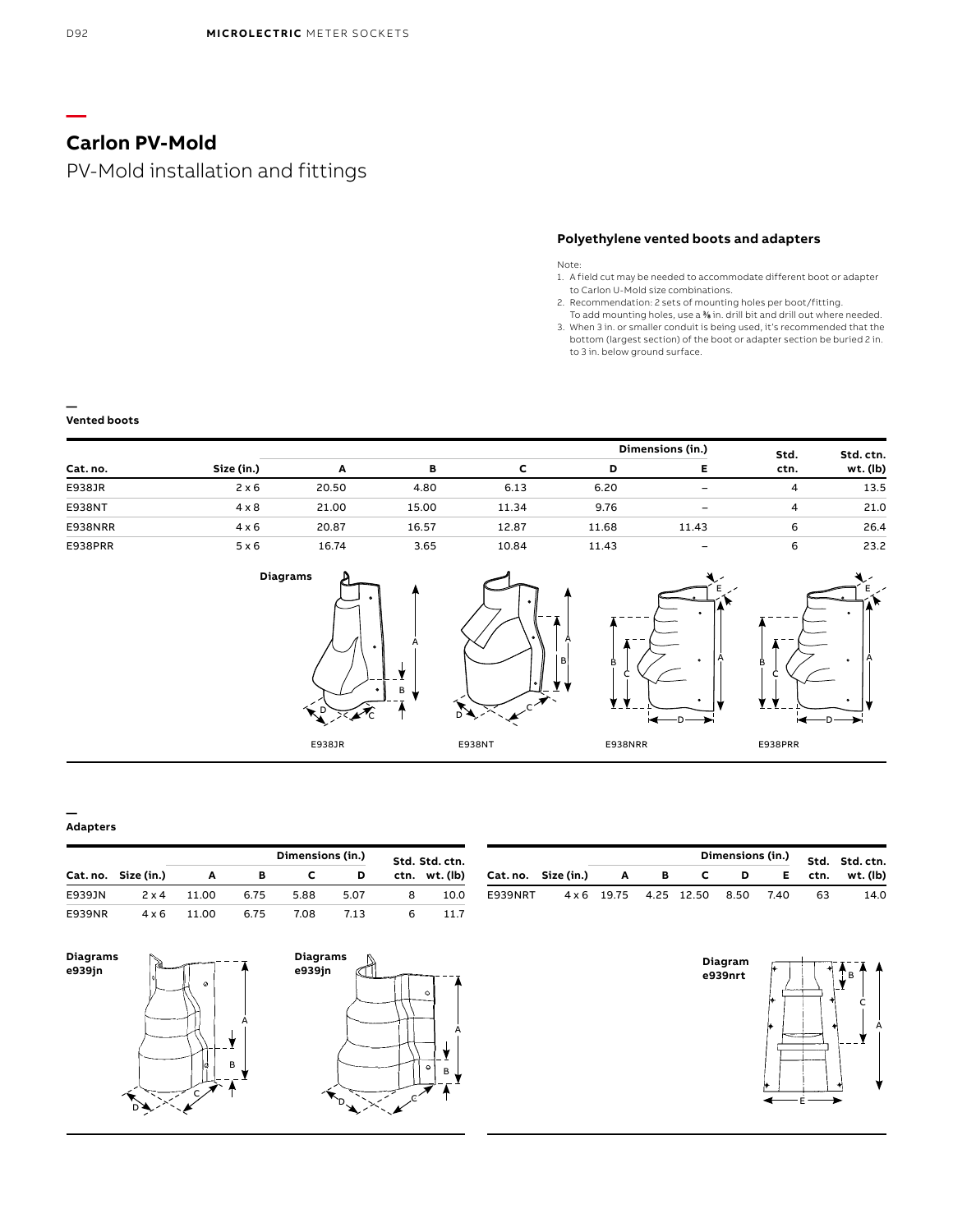# PV-Mold installation and fittings

## **Polyethylene vented boots and adapters**

Note:

- 1. A field cut may be needed to accommodate different boot or adapter to Carlon U-Mold size combinations.
- 2. Recommendation: 2 sets of mounting holes per boot/fitting.
- To add mounting holes, use a % in. drill bit and drill out where needed. 3. When 3 in. or smaller conduit is being used, it's recommended that the bottom (largest section) of the boot or adapter section be buried 2 in. to 3 in. below ground surface.

### **Vented boots**

**—**

|               |              |       |        |       |       | Dimensions (in.) | Std. | Std. ctn. |
|---------------|--------------|-------|--------|-------|-------|------------------|------|-----------|
| Cat. no.      | Size (in.)   |       | в<br>в |       | D     | Е                | ctn. | wt. (lb)  |
| E938JR        | 2 x 6        | 20.50 | 4.80   | 6.13  | 6.20  | -                | 4    | 13.5      |
| <b>E938NT</b> | $4 \times 8$ | 21.00 | 15.00  | 11.34 | 9.76  | -                | 4    | 21.0      |
| E938NRR       | $4 \times 6$ | 20.87 | 16.57  | 12.87 | 11.68 | 11.43            | 6    | 26.4      |
| E938PRR       | 5 x 6        | 16.74 | 3.65   | 10.84 | 11.43 | -                | 6    | 23.2      |



A

B

A





B



### **Adapters**

**—**

|        |                     |        |      |      | Dimensions (in.) |      | Std. Std. ctn. |
|--------|---------------------|--------|------|------|------------------|------|----------------|
|        | Cat. no. Size (in.) |        | в    |      | D                | ctn. | wt. (lb)       |
| E939JN | $2 \times 4$        | 11.00  | 6.75 | 5.88 | 5.07             |      | 10.0           |
| E939NR | 4 x 6               | 11 O.O | 6.75 | 7.08 | 713              | ь    | 117            |



|         |                     |                        |   |   | Dimensions (in.) |      |      | Std. Std.ctn. |
|---------|---------------------|------------------------|---|---|------------------|------|------|---------------|
|         | Cat. no. Size (in.) | А                      | в | C | D                | Е.   | ctn. | wt. (lb)      |
| E939NRT |                     | 4 x 6 19.75 4.25 12.50 |   |   | 8.50             | 7.40 | 63   | 14.0          |



**—**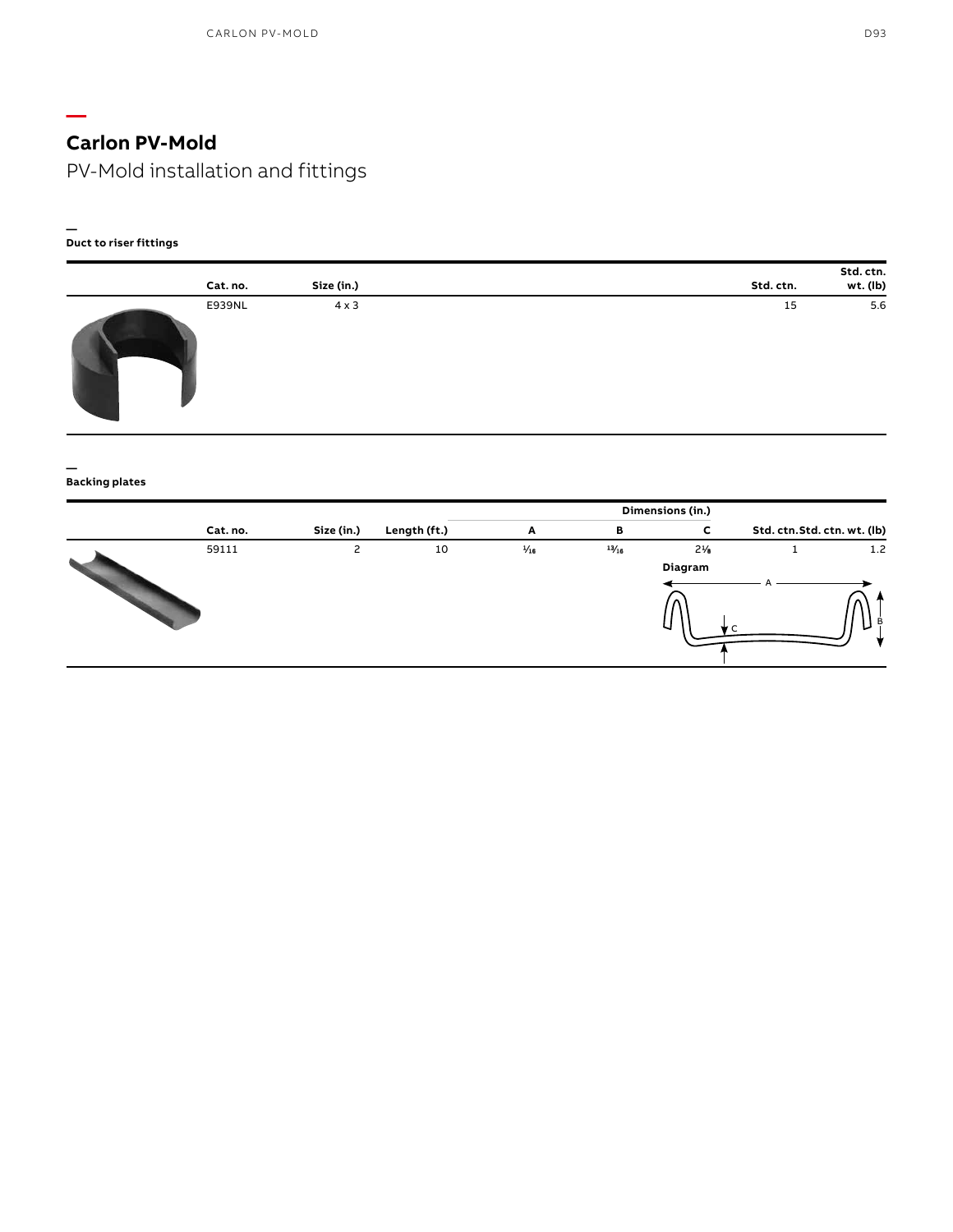PV-Mold installation and fittings

#### **— Duct to riser fittings**

**—**

| Cat. no. | Size (in.)   | Std. ctn. | Std. ctn.<br>wt. (lb) |
|----------|--------------|-----------|-----------------------|
| E939NL   | $4 \times 3$ | 15        | 5.6                   |

#### **— Backing plates**

|          |            |              |                |            | Dimensions (in.) |                              |     |
|----------|------------|--------------|----------------|------------|------------------|------------------------------|-----|
| Cat. no. | Size (in.) | Length (ft.) | Α              | в          | c                | Std. ctn. Std. ctn. wt. (lb) |     |
| 59111    | 2          | 10           | $\frac{1}{16}$ | $^{13/16}$ | $2\frac{1}{6}$   |                              | 1.2 |
|          |            |              |                |            | Diagram          |                              |     |
|          |            |              |                |            |                  |                              |     |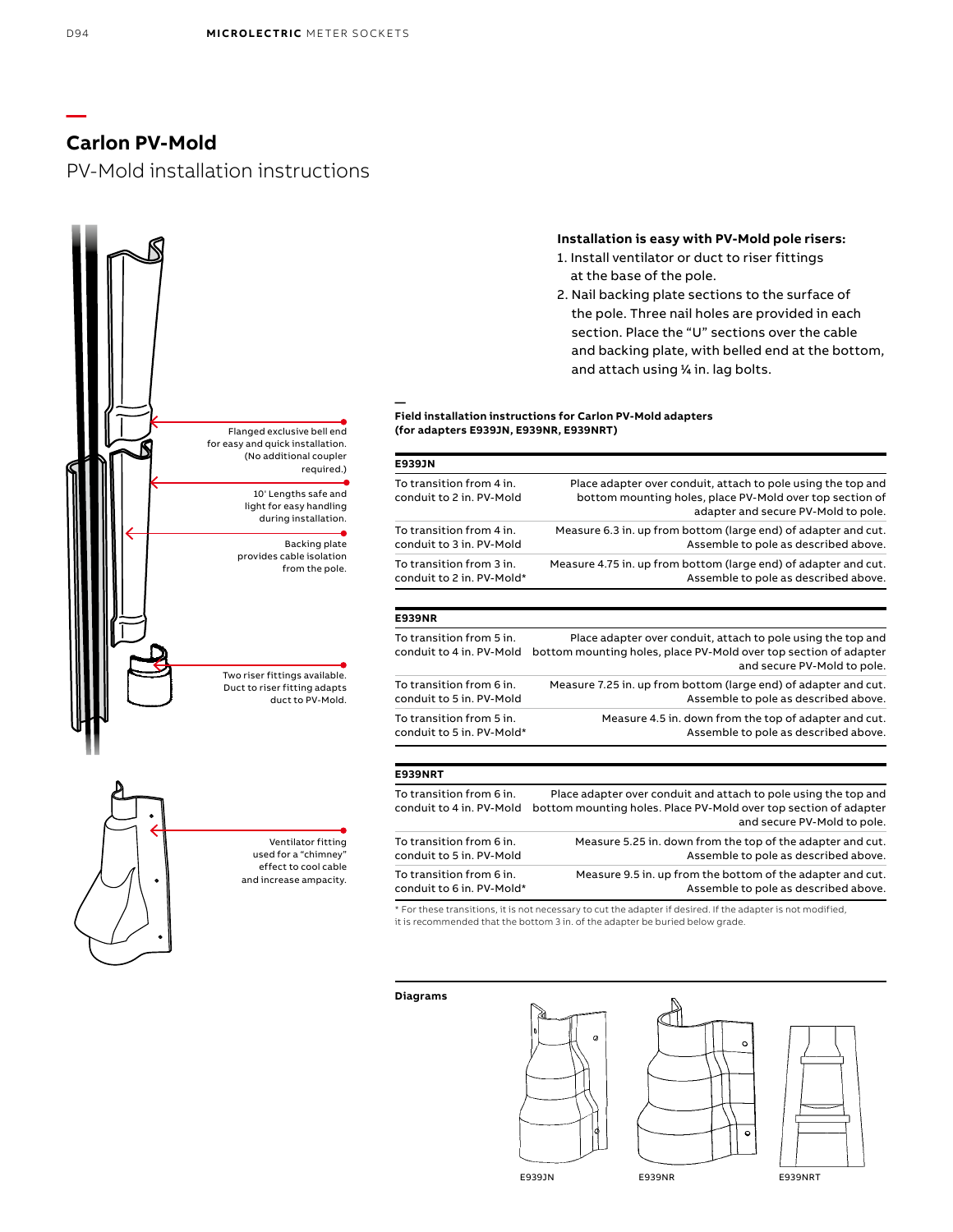PV-Mold installation instructions



## **Installation is easy with PV-Mold pole risers:**

- 1. Install ventilator or duct to riser fittings at the base of the pole.
- 2. Nail backing plate sections to the surface of the pole. Three nail holes are provided in each section. Place the "U" sections over the cable and backing plate, with belled end at the bottom, and attach using 1 ⁄4 in. lag bolts.

### **Field installation instructions for Carlon PV-Mold adapters (for adapters E939JN, E939NR, E939NRT)**

| E939JN                                                |                                                                                                                                                                 |
|-------------------------------------------------------|-----------------------------------------------------------------------------------------------------------------------------------------------------------------|
| To transition from 4 in.<br>conduit to 2 in, PV-Mold  | Place adapter over conduit, attach to pole using the top and<br>bottom mounting holes, place PV-Mold over top section of<br>adapter and secure PV-Mold to pole. |
| To transition from 4 in.<br>conduit to 3 in, PV-Mold  | Measure 6.3 in, up from bottom (large end) of adapter and cut.<br>Assemble to pole as described above.                                                          |
| To transition from 3 in.<br>conduit to 2 in. PV-Mold* | Measure 4.75 in. up from bottom (large end) of adapter and cut.<br>Assemble to pole as described above.                                                         |
| <b>E939NR</b>                                         |                                                                                                                                                                 |
| To transition from 5 in.<br>conduit to 4 in. PV-Mold  | Place adapter over conduit, attach to pole using the top and<br>bottom mounting holes, place PV-Mold over top section of adapter<br>and secure PV-Mold to pole. |
| To transition from 6 in.<br>conduit to 5 in. PV-Mold  | Measure 7.25 in. up from bottom (large end) of adapter and cut.<br>Assemble to pole as described above.                                                         |

### **E939NRT**

To transition from 5 in. conduit to 5 in. PV-Mold\*

**—**

| To transition from 6 in.<br>conduit to 4 in. PV-Mold | Place adapter over conduit and attach to pole using the top and<br>bottom mounting holes. Place PV-Mold over top section of adapter<br>and secure PV-Mold to pole. |
|------------------------------------------------------|--------------------------------------------------------------------------------------------------------------------------------------------------------------------|
| To transition from 6 in.                             | Measure 5.25 in, down from the top of the adapter and cut.                                                                                                         |
| conduit to 5 in. PV-Mold                             | Assemble to pole as described above.                                                                                                                               |
| To transition from 6 in.                             | Measure 9.5 in. up from the bottom of the adapter and cut.                                                                                                         |
| conduit to 6 in. PV-Mold*                            | Assemble to pole as described above.                                                                                                                               |

\* For these transitions, it is not necessary to cut the adapter if desired. If the adapter is not modified, it is recommended that the bottom 3 in. of the adapter be buried below grade.

**Diagrams**





Measure 4.5 in. down from the top of adapter and cut.

Assemble to pole as described above.



E939JN E939NR E939NRT

**—**